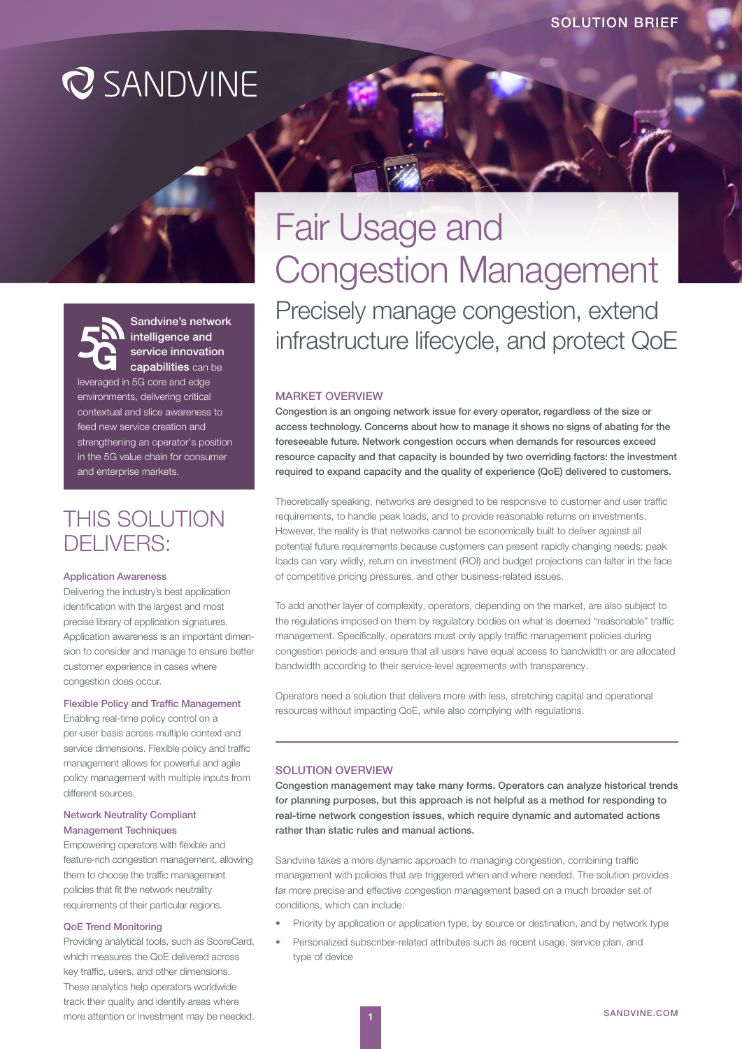# **Q** SANDVINE

# Sandvine's network intelligence and service innovation capabilities can be

leveraged in 5G core and edge environments, delivering critical contextual and slice awareness to feed new service creation and strengthening an operator's position in the 5G value chain for consumer and enterprise markets.

# THIS SOLUTION DELIVERS:

#### Application Awareness

Delivering the industry's best application identification with the largest and most precise library of application signatures. Application awareness is an important dimension to consider and manage to ensure better customer experience in cases where congestion does occur.

### Flexible Policy and Traffic Management

Enabling real-time policy control on a per-user basis across multiple context and service dimensions. Flexible policy and traffic management allows for powerful and agile policy management with multiple inputs from different sources.

# Network Neutrality Compliant Management Techniques

Empowering operators with flexible and feature-rich congestion management, allowing them to choose the traffic management policies that fit the network neutrality requirements of their particular regions.

#### QoE Trend Monitoring

Providing analytical tools, such as ScoreCard, which measures the QoE delivered across key traffic, users, and other dimensions. These analytics help operators worldwide track their quality and identify areas where more attention or investment may be needed.

# Fair Usage and Congestion Management Precisely manage congestion, extend infrastructure lifecycle, and protect QoE

### MARKET OVERVIEW

Congestion is an ongoing network issue for every operator, regardless of the size or access technology. Concerns about how to manage it shows no signs of abating for the foreseeable future. Network congestion occurs when demands for resources exceed resource capacity and that capacity is bounded by two overriding factors: the investment required to expand capacity and the quality of experience (QoE) delivered to customers.

Theoretically speaking, networks are designed to be responsive to customer and user traffic requirements, to handle peak loads, and to provide reasonable returns on investments. However, the reality is that networks cannot be economically built to deliver against all potential future requirements because customers can present rapidly changing needs; peak loads can vary wildly, return on investment (ROI) and budget projections can falter in the face of competitive pricing pressures, and other business-related issues.

To add another layer of complexity, operators, depending on the market, are also subject to the regulations imposed on them by regulatory bodies on what is deemed "reasonable" traffic management. Specifically, operators must only apply traffic management policies during congestion periods and ensure that all users have equal access to bandwidth or are allocated bandwidth according to their service-level agreements with transparency.

Operators need a solution that delivers more with less, stretching capital and operational resources without impacting QoE, while also complying with regulations.

# SOLUTION OVERVIEW

Congestion management may take many forms. Operators can analyze historical trends for planning purposes, but this approach is not helpful as a method for responding to real-time network congestion issues, which require dynamic and automated actions rather than static rules and manual actions.

Sandvine takes a more dynamic approach to managing congestion, combining traffic management with policies that are triggered when and where needed. The solution provides far more precise and effective congestion management based on a much broader set of conditions, which can include:

- Priority by application or application type, by source or destination, and by network type
- Personalized subscriber-related attributes such as recent usage, service plan, and type of device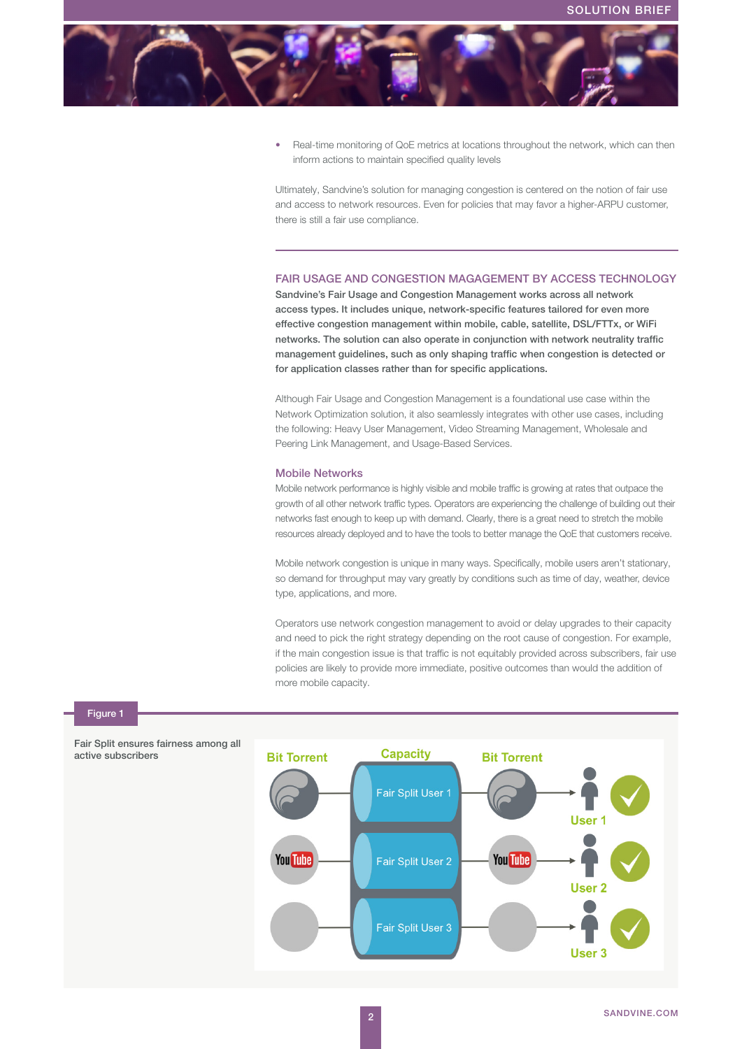

• Real-time monitoring of QoE metrics at locations throughout the network, which can then inform actions to maintain specified quality levels

Ultimately, Sandvine's solution for managing congestion is centered on the notion of fair use and access to network resources. Even for policies that may favor a higher-ARPU customer, there is still a fair use compliance.

## FAIR USAGE AND CONGESTION MAGAGEMENT BY ACCESS TECHNOLOGY

Sandvine's Fair Usage and Congestion Management works across all network access types. It includes unique, network-specific features tailored for even more effective congestion management within mobile, cable, satellite, DSL/FTTx, or WiFi networks. The solution can also operate in conjunction with network neutrality traffic management guidelines, such as only shaping traffic when congestion is detected or for application classes rather than for specific applications.

Although Fair Usage and Congestion Management is a foundational use case within the Network Optimization solution, it also seamlessly integrates with other use cases, including the following: Heavy User Management, Video Streaming Management, Wholesale and Peering Link Management, and Usage-Based Services.

#### Mobile Networks

Mobile network performance is highly visible and mobile traffic is growing at rates that outpace the growth of all other network traffic types. Operators are experiencing the challenge of building out their networks fast enough to keep up with demand. Clearly, there is a great need to stretch the mobile resources already deployed and to have the tools to better manage the QoE that customers receive.

Mobile network congestion is unique in many ways. Specifically, mobile users aren't stationary, so demand for throughput may vary greatly by conditions such as time of day, weather, device type, applications, and more.

Operators use network congestion management to avoid or delay upgrades to their capacity and need to pick the right strategy depending on the root cause of congestion. For example, if the main congestion issue is that traffic is not equitably provided across subscribers, fair use policies are likely to provide more immediate, positive outcomes than would the addition of more mobile capacity.



### Figure 1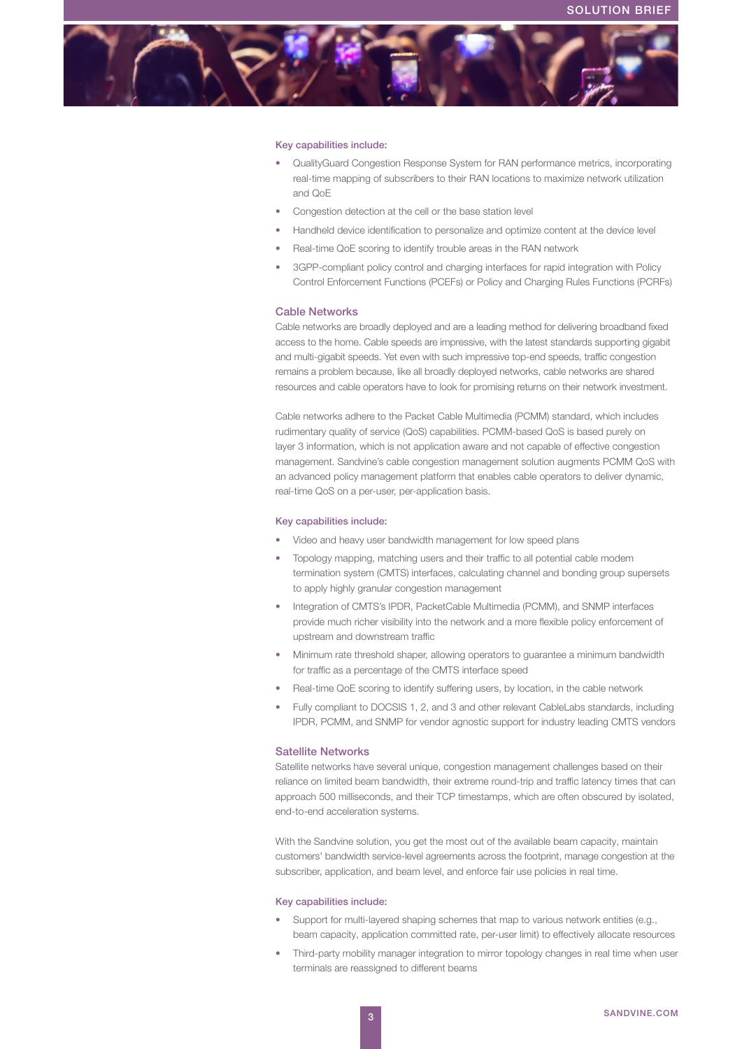

#### Key capabilities include:

- QualityGuard Congestion Response System for RAN performance metrics, incorporating real-time mapping of subscribers to their RAN locations to maximize network utilization and QoE
- Congestion detection at the cell or the base station level
- Handheld device identification to personalize and optimize content at the device level
- Real-time QoE scoring to identify trouble areas in the RAN network
- 3GPP-compliant policy control and charging interfaces for rapid integration with Policy Control Enforcement Functions (PCEFs) or Policy and Charging Rules Functions (PCRFs)

#### Cable Networks

Cable networks are broadly deployed and are a leading method for delivering broadband fixed access to the home. Cable speeds are impressive, with the latest standards supporting gigabit and multi-gigabit speeds. Yet even with such impressive top-end speeds, traffic congestion remains a problem because, like all broadly deployed networks, cable networks are shared resources and cable operators have to look for promising returns on their network investment.

Cable networks adhere to the Packet Cable Multimedia (PCMM) standard, which includes rudimentary quality of service (QoS) capabilities. PCMM-based QoS is based purely on layer 3 information, which is not application aware and not capable of effective congestion management. Sandvine's cable congestion management solution augments PCMM QoS with an advanced policy management platform that enables cable operators to deliver dynamic, real-time QoS on a per-user, per-application basis.

#### Key capabilities include:

- Video and heavy user bandwidth management for low speed plans
- Topology mapping, matching users and their traffic to all potential cable modem termination system (CMTS) interfaces, calculating channel and bonding group supersets to apply highly granular congestion management
- Integration of CMTS's IPDR, PacketCable Multimedia (PCMM), and SNMP interfaces provide much richer visibility into the network and a more flexible policy enforcement of upstream and downstream traffic
- Minimum rate threshold shaper, allowing operators to guarantee a minimum bandwidth for traffic as a percentage of the CMTS interface speed
- Real-time QoE scoring to identify suffering users, by location, in the cable network
- Fully compliant to DOCSIS 1, 2, and 3 and other relevant CableLabs standards, including IPDR, PCMM, and SNMP for vendor agnostic support for industry leading CMTS vendors

#### Satellite Networks

Satellite networks have several unique, congestion management challenges based on their reliance on limited beam bandwidth, their extreme round-trip and traffic latency times that can approach 500 milliseconds, and their TCP timestamps, which are often obscured by isolated, end-to-end acceleration systems.

With the Sandvine solution, you get the most out of the available beam capacity, maintain customers' bandwidth service-level agreements across the footprint, manage congestion at the subscriber, application, and beam level, and enforce fair use policies in real time.

#### Key capabilities include:

- Support for multi-layered shaping schemes that map to various network entities (e.g., beam capacity, application committed rate, per-user limit) to effectively allocate resources
- Third-party mobility manager integration to mirror topology changes in real time when user terminals are reassigned to different beams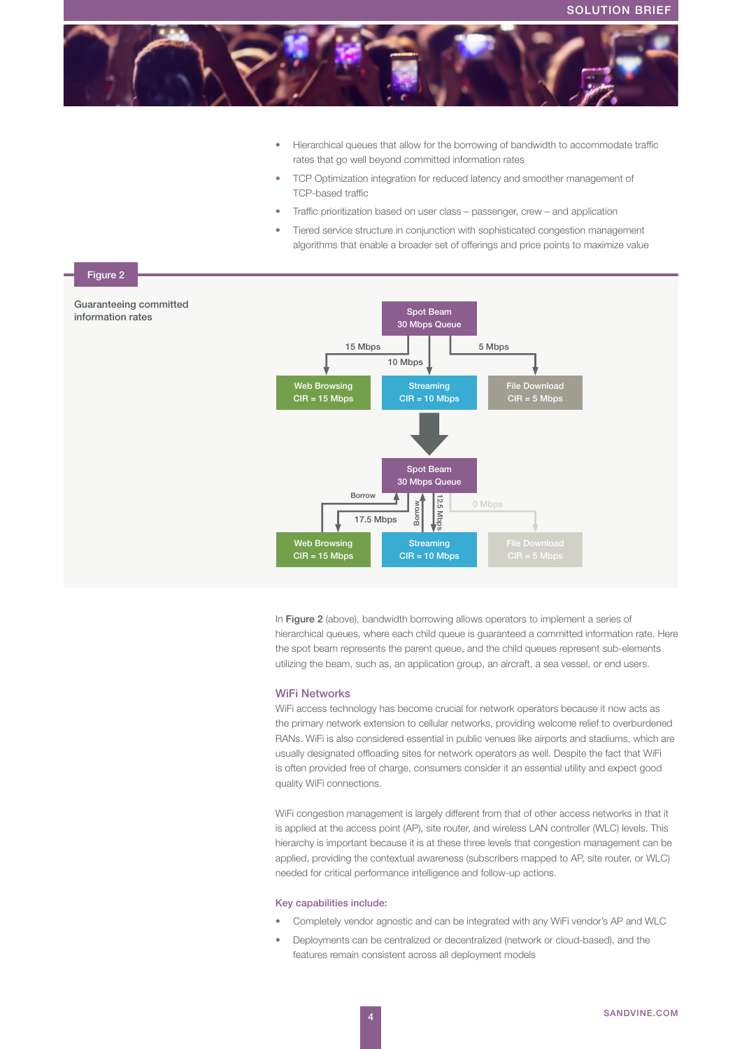

- Hierarchical queues that allow for the borrowing of bandwidth to accommodate traffic rates that go well beyond committed information rates
- TCP Optimization integration for reduced latency and smoother management of TCP-based traffic
- Traffic prioritization based on user class passenger, crew and application
- Tiered service structure in conjunction with sophisticated congestion management algorithms that enable a broader set of offerings and price points to maximize value



In Figure 2 (above), bandwidth borrowing allows operators to implement a series of hierarchical queues, where each child queue is guaranteed a committed information rate. Here the spot beam represents the parent queue, and the child queues represent sub-elements utilizing the beam, such as, an application group, an aircraft, a sea vessel, or end users.

#### WiFi Networks

WiFi access technology has become crucial for network operators because it now acts as the primary network extension to cellular networks, providing welcome relief to overburdened RANs. WiFi is also considered essential in public venues like airports and stadiums, which are usually designated offloading sites for network operators as well. Despite the fact that WiFi is often provided free of charge, consumers consider it an essential utility and expect good quality WiFi connections.

WiFi congestion management is largely different from that of other access networks in that it is applied at the access point (AP), site router, and wireless LAN controller (WLC) levels. This hierarchy is important because it is at these three levels that congestion management can be applied, providing the contextual awareness (subscribers mapped to AP, site router, or WLC) needed for critical performance intelligence and follow-up actions.

#### Key capabilities include:

- Completely vendor agnostic and can be integrated with any WiFi vendor's AP and WLC
- Deployments can be centralized or decentralized (network or cloud-based), and the features remain consistent across all deployment models